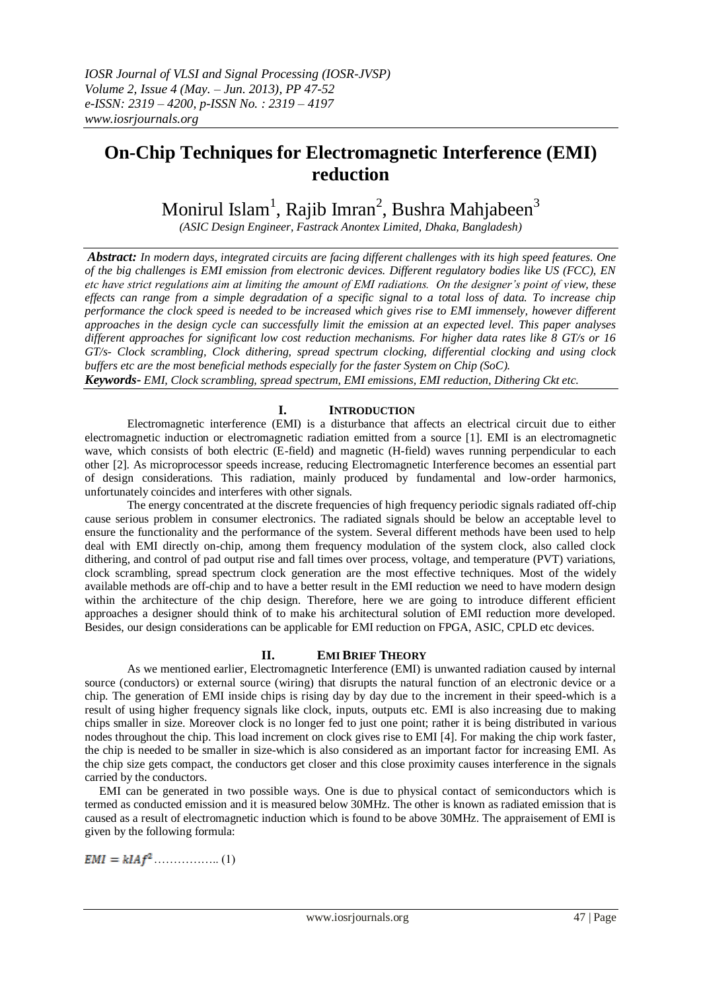# **On-Chip Techniques for Electromagnetic Interference (EMI) reduction**

Monirul Islam<sup>1</sup>, Rajib Imran<sup>2</sup>, Bushra Mahjabeen<sup>3</sup>

*(ASIC Design Engineer, Fastrack Anontex Limited, Dhaka, Bangladesh)*

*Abstract: In modern days, integrated circuits are facing different challenges with its high speed features. One of the big challenges is EMI emission from electronic devices. Different regulatory bodies like US (FCC), EN etc have strict regulations aim at limiting the amount of EMI radiations. On the designer's point of view, these effects can range from a simple degradation of a specific signal to a total loss of data. To increase chip performance the clock speed is needed to be increased which gives rise to EMI immensely, however different approaches in the design cycle can successfully limit the emission at an expected level. This paper analyses different approaches for significant low cost reduction mechanisms. For higher data rates like 8 GT/s or 16 GT/s- Clock scrambling, Clock dithering, spread spectrum clocking, differential clocking and using clock buffers etc are the most beneficial methods especially for the faster System on Chip (SoC).*

*Keywords- EMI, Clock scrambling, spread spectrum, EMI emissions, EMI reduction, Dithering Ckt etc.*

## **I. INTRODUCTION**

Electromagnetic interference (EMI) is a disturbance that affects an electrical circuit due to either electromagnetic induction or [electromagnetic radiation](http://en.wikipedia.org/wiki/Electromagnetic_radiation) emitted from a source [1]. EMI is an electromagnetic wave, which consists of both electric (E-field) and magnetic (H-field) waves running perpendicular to each other [2]. As microprocessor speeds increase, reducing Electromagnetic Interference becomes an essential part of design considerations. This radiation, mainly produced by fundamental and low-order harmonics, unfortunately coincides and interferes with other signals.

 The energy concentrated at the discrete frequencies of high frequency periodic signals radiated off-chip cause serious problem in consumer electronics. The radiated signals should be below an acceptable level to ensure the functionality and the performance of the system. Several different methods have been used to help deal with EMI directly on-chip, among them frequency modulation of the system clock, also called clock dithering, and control of pad output rise and fall times over process, voltage, and temperature (PVT) variations, clock scrambling, spread spectrum clock generation are the most effective techniques. Most of the widely available methods are off-chip and to have a better result in the EMI reduction we need to have modern design within the architecture of the chip design. Therefore, here we are going to introduce different efficient approaches a designer should think of to make his architectural solution of EMI reduction more developed. Besides, our design considerations can be applicable for EMI reduction on FPGA, ASIC, CPLD etc devices.

## **II. EMI BRIEF THEORY**

As we mentioned earlier, Electromagnetic Interference (EMI) is unwanted radiation caused by internal source (conductors) or external source (wiring) that disrupts the natural function of an electronic device or a chip. The generation of EMI inside chips is rising day by day due to the increment in their speed-which is a result of using higher frequency signals like clock, inputs, outputs etc. EMI is also increasing due to making chips smaller in size. Moreover clock is no longer fed to just one point; rather it is being distributed in various nodes throughout the chip. This load increment on clock gives rise to EMI [4]. For making the chip work faster, the chip is needed to be smaller in size-which is also considered as an important factor for increasing EMI. As the chip size gets compact, the conductors get closer and this close proximity causes interference in the signals carried by the conductors.

 EMI can be generated in two possible ways. One is due to physical contact of semiconductors which is termed as conducted emission and it is measured below 30MHz. The other is known as radiated emission that is caused as a result of electromagnetic induction which is found to be above 30MHz. The appraisement of EMI is given by the following formula:

…………….. (1)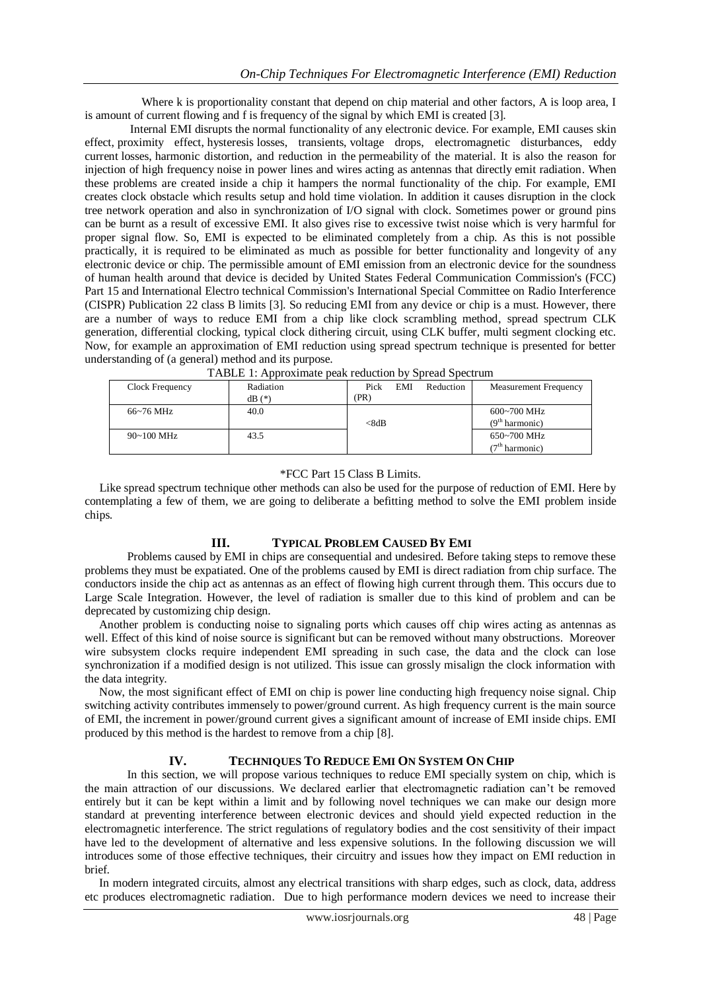Where k is proportionality constant that depend on chip material and other factors, A is loop area, I is amount of current flowing and f is frequency of the signal by which EMI is created [3].

 Internal EMI disrupts the normal functionality of any electronic device. For example, EMI causes skin effect, proximity effect, hysteresis losses, transients, voltage drops, electromagnetic disturbances, eddy current losses, harmonic distortion, and reduction in the permeability of the material. It is also the reason for injection of high frequency noise in power lines and wires acting as antennas that directly emit radiation. When these problems are created inside a chip it hampers the normal functionality of the chip. For example, EMI creates clock obstacle which results setup and hold time violation. In addition it causes disruption in the clock tree network operation and also in synchronization of I/O signal with clock. Sometimes power or ground pins can be burnt as a result of excessive EMI. It also gives rise to excessive twist noise which is very harmful for proper signal flow. So, EMI is expected to be eliminated completely from a chip. As this is not possible practically, it is required to be eliminated as much as possible for better functionality and longevity of any electronic device or chip. The permissible amount of EMI emission from an electronic device for the soundness of human health around that device is decided by United States Federal Communication Commission's (FCC) Part 15 and International Electro technical Commission's International Special Committee on Radio Interference (CISPR) Publication 22 class B limits [3]. So reducing EMI from any device or chip is a must. However, there are a number of ways to reduce EMI from a chip like clock scrambling method, spread spectrum CLK generation, differential clocking, typical clock dithering circuit, using CLK buffer, multi segment clocking etc. Now, for example an approximation of EMI reduction using spread spectrum technique is presented for better understanding of (a general) method and its purpose.

| Clock Frequency | Radiation<br>$dB(*)$ | Pick<br>(PR) | EMI | Reduction | <b>Measurement Frequency</b>                  |
|-----------------|----------------------|--------------|-----|-----------|-----------------------------------------------|
| $66~76$ MHz     | 40.0                 | <8dB         |     |           | $600 - 700$ MHz<br>(9 <sup>th</sup> harmonic) |
| $90 - 100$ MHz  | 43.5                 |              |     |           | 650~700 MHz<br>(7 <sup>th</sup> harmonic)     |

## \*FCC Part 15 Class B Limits.

 Like spread spectrum technique other methods can also be used for the purpose of reduction of EMI. Here by contemplating a few of them, we are going to deliberate a befitting method to solve the EMI problem inside chips.

## **III. TYPICAL PROBLEM CAUSED BY EMI**

Problems caused by EMI in chips are consequential and undesired. Before taking steps to remove these problems they must be expatiated. One of the problems caused by EMI is direct radiation from chip surface. The conductors inside the chip act as antennas as an effect of flowing high current through them. This occurs due to Large Scale Integration. However, the level of radiation is smaller due to this kind of problem and can be deprecated by customizing chip design.

 Another problem is conducting noise to signaling ports which causes off chip wires acting as antennas as well. Effect of this kind of noise source is significant but can be removed without many obstructions. Moreover wire subsystem clocks require independent EMI spreading in such case, the data and the clock can lose synchronization if a modified design is not utilized. This issue can grossly misalign the clock information with the data integrity.

 Now, the most significant effect of EMI on chip is power line conducting high frequency noise signal. Chip switching activity contributes immensely to power/ground current. As high frequency current is the main source of EMI, the increment in power/ground current gives a significant amount of increase of EMI inside chips. EMI produced by this method is the hardest to remove from a chip [8].

## **IV. TECHNIQUES TO REDUCE EMI ON SYSTEM ON CHIP**

In this section, we will propose various techniques to reduce EMI specially system on chip, which is the main attraction of our discussions. We declared earlier that electromagnetic radiation can't be removed entirely but it can be kept within a limit and by following novel techniques we can make our design more standard at preventing interference between electronic devices and should yield expected reduction in the electromagnetic interference. The strict regulations of regulatory bodies and the cost sensitivity of their impact have led to the development of alternative and less expensive solutions. In the following discussion we will introduces some of those effective techniques, their circuitry and issues how they impact on EMI reduction in brief.

 In modern integrated circuits, almost any electrical transitions with sharp edges, such as clock, data, address etc produces electromagnetic radiation. Due to high performance modern devices we need to increase their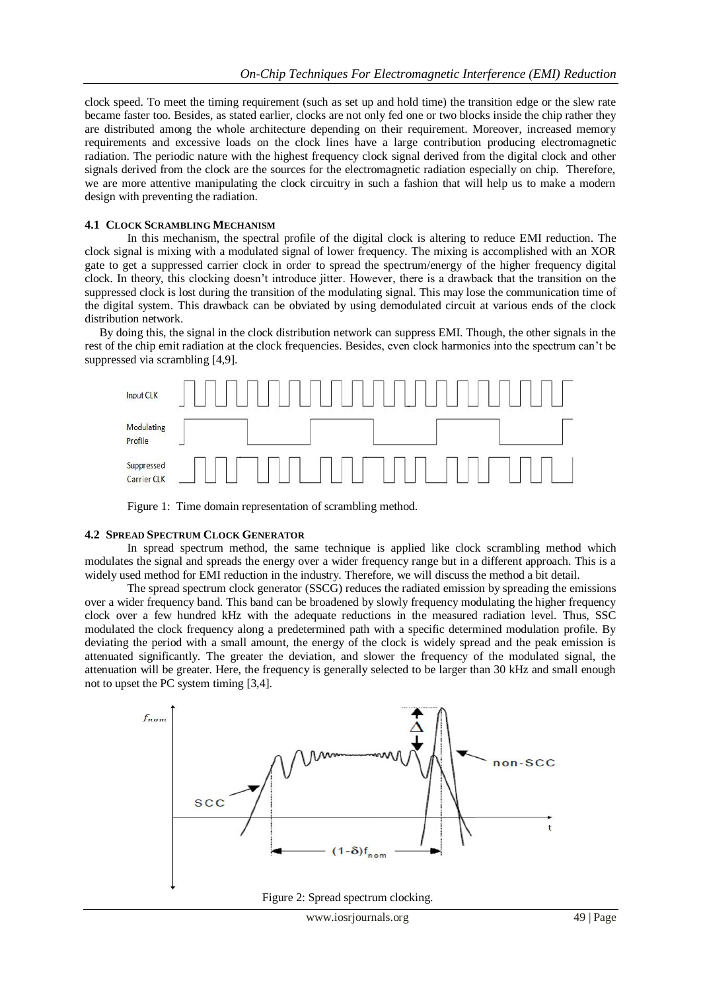clock speed. To meet the timing requirement (such as set up and hold time) the transition edge or the slew rate became faster too. Besides, as stated earlier, clocks are not only fed one or two blocks inside the chip rather they are distributed among the whole architecture depending on their requirement. Moreover, increased memory requirements and excessive loads on the clock lines have a large contribution producing electromagnetic radiation. The periodic nature with the highest frequency clock signal derived from the digital clock and other signals derived from the clock are the sources for the electromagnetic radiation especially on chip. Therefore, we are more attentive manipulating the clock circuitry in such a fashion that will help us to make a modern design with preventing the radiation.

## **4.1 CLOCK SCRAMBLING MECHANISM**

In this mechanism, the spectral profile of the digital clock is altering to reduce EMI reduction. The clock signal is mixing with a modulated signal of lower frequency. The mixing is accomplished with an XOR gate to get a suppressed carrier clock in order to spread the spectrum/energy of the higher frequency digital clock. In theory, this clocking doesn't introduce jitter. However, there is a drawback that the transition on the suppressed clock is lost during the transition of the modulating signal. This may lose the communication time of the digital system. This drawback can be obviated by using demodulated circuit at various ends of the clock distribution network.

 By doing this, the signal in the clock distribution network can suppress EMI. Though, the other signals in the rest of the chip emit radiation at the clock frequencies. Besides, even clock harmonics into the spectrum can't be suppressed via scrambling [4,9].



Figure 1: Time domain representation of scrambling method.

## **4.2 SPREAD SPECTRUM CLOCK GENERATOR**

In spread spectrum method, the same technique is applied like clock scrambling method which modulates the signal and spreads the energy over a wider frequency range but in a different approach. This is a widely used method for EMI reduction in the industry. Therefore, we will discuss the method a bit detail.

 The spread spectrum clock generator (SSCG) reduces the radiated emission by spreading the emissions over a wider frequency band. This band can be broadened by slowly frequency modulating the higher frequency clock over a few hundred kHz with the adequate reductions in the measured radiation level. Thus, SSC modulated the clock frequency along a predetermined path with a specific determined modulation profile. By deviating the period with a small amount, the energy of the clock is widely spread and the peak emission is attenuated significantly. The greater the deviation, and slower the frequency of the modulated signal, the attenuation will be greater. Here, the frequency is generally selected to be larger than 30 kHz and small enough not to upset the PC system timing [3,4].



Figure 2: Spread spectrum clocking.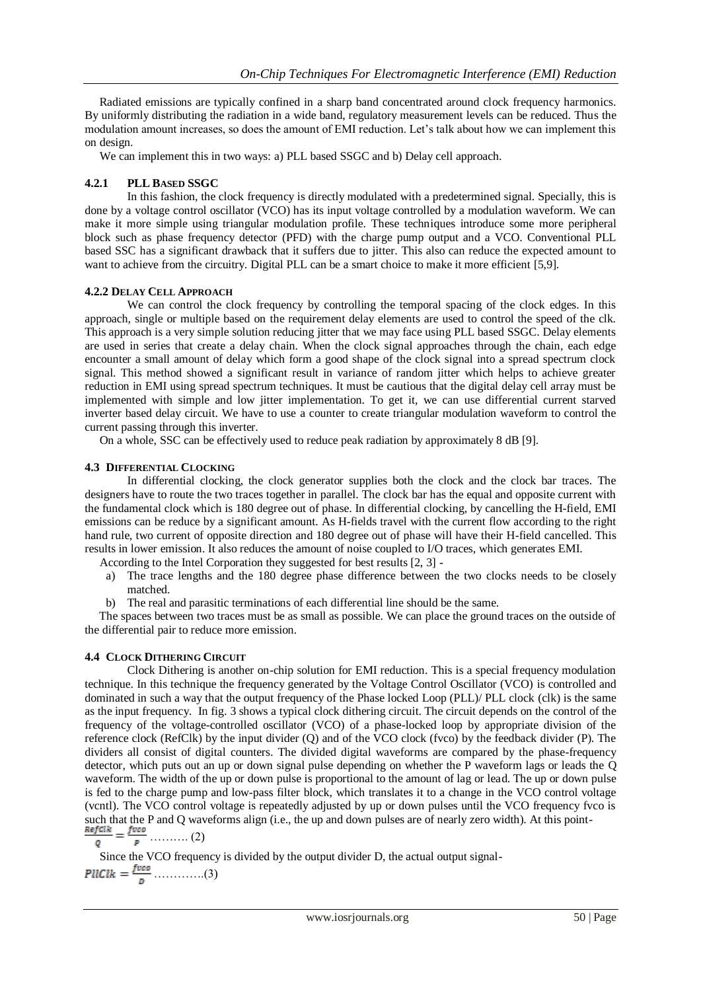Radiated emissions are typically confined in a sharp band concentrated around clock frequency harmonics. By uniformly distributing the radiation in a wide band, regulatory measurement levels can be reduced. Thus the modulation amount increases, so does the amount of EMI reduction. Let's talk about how we can implement this on design.

We can implement this in two ways: a) PLL based SSGC and b) Delay cell approach.

## **4.2.1 PLL BASED SSGC**

In this fashion, the clock frequency is directly modulated with a predetermined signal. Specially, this is done by a voltage control oscillator (VCO) has its input voltage controlled by a modulation waveform. We can make it more simple using triangular modulation profile. These techniques introduce some more peripheral block such as phase frequency detector (PFD) with the charge pump output and a VCO. Conventional PLL based SSC has a significant drawback that it suffers due to jitter. This also can reduce the expected amount to want to achieve from the circuitry. Digital PLL can be a smart choice to make it more efficient [5,9].

## **4.2.2 DELAY CELL APPROACH**

We can control the clock frequency by controlling the temporal spacing of the clock edges. In this approach, single or multiple based on the requirement delay elements are used to control the speed of the clk. This approach is a very simple solution reducing jitter that we may face using PLL based SSGC. Delay elements are used in series that create a delay chain. When the clock signal approaches through the chain, each edge encounter a small amount of delay which form a good shape of the clock signal into a spread spectrum clock signal. This method showed a significant result in variance of random jitter which helps to achieve greater reduction in EMI using spread spectrum techniques. It must be cautious that the digital delay cell array must be implemented with simple and low jitter implementation. To get it, we can use differential current starved inverter based delay circuit. We have to use a counter to create triangular modulation waveform to control the current passing through this inverter.

On a whole, SSC can be effectively used to reduce peak radiation by approximately 8 dB [9].

## **4.3 DIFFERENTIAL CLOCKING**

In differential clocking, the clock generator supplies both the clock and the clock bar traces. The designers have to route the two traces together in parallel. The clock bar has the equal and opposite current with the fundamental clock which is 180 degree out of phase. In differential clocking, by cancelling the H-field, EMI emissions can be reduce by a significant amount. As H-fields travel with the current flow according to the right hand rule, two current of opposite direction and 180 degree out of phase will have their H-field cancelled. This results in lower emission. It also reduces the amount of noise coupled to I/O traces, which generates EMI.

According to the Intel Corporation they suggested for best results [2, 3] -

- a) The trace lengths and the 180 degree phase difference between the two clocks needs to be closely matched.
- b) The real and parasitic terminations of each differential line should be the same.

 The spaces between two traces must be as small as possible. We can place the ground traces on the outside of the differential pair to reduce more emission.

## **4.4 CLOCK DITHERING CIRCUIT**

Clock Dithering is another on-chip solution for EMI reduction. This is a special frequency modulation technique. In this technique the frequency generated by the Voltage Control Oscillator (VCO) is controlled and dominated in such a way that the output frequency of the Phase locked Loop (PLL)/ PLL clock (clk) is the same as the input frequency. In fig. 3 shows a typical clock dithering circuit. The circuit depends on the control of the frequency of the voltage-controlled oscillator (VCO) of a phase-locked loop by appropriate division of the reference clock (RefClk) by the input divider (Q) and of the VCO clock (fvco) by the feedback divider (P). The dividers all consist of digital counters. The divided digital waveforms are compared by the phase-frequency detector, which puts out an up or down signal pulse depending on whether the P waveform lags or leads the Q waveform. The width of the up or down pulse is proportional to the amount of lag or lead. The up or down pulse is fed to the charge pump and low-pass filter block, which translates it to a change in the VCO control voltage (vcntl). The VCO control voltage is repeatedly adjusted by up or down pulses until the VCO frequency fvco is such that the P and Q waveforms align (i.e., the up and down pulses are of nearly zero width). At this point-

 $\frac{Refclk}{o} = \frac{f vco}{p}$  (2)

 Since the VCO frequency is divided by the output divider D, the actual output signal- ………….(3)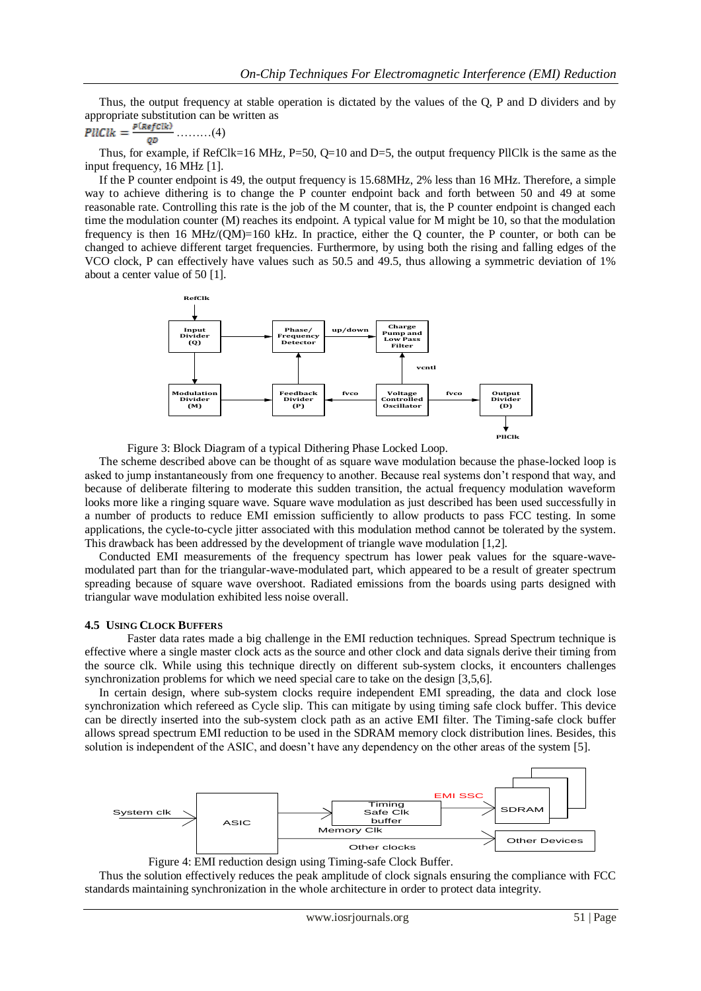Thus, the output frequency at stable operation is dictated by the values of the Q, P and D dividers and by appropriate substitution can be written as

$$
PUClk = \frac{P(RefClk)}{QD} \dots \dots \dots (4)
$$

Thus, for example, if  $RefClk=16$  MHz,  $P=50$ ,  $Q=10$  and  $D=5$ , the output frequency PllClk is the same as the input frequency, 16 MHz [1].

 If the P counter endpoint is 49, the output frequency is 15.68MHz, 2% less than 16 MHz. Therefore, a simple way to achieve dithering is to change the P counter endpoint back and forth between 50 and 49 at some reasonable rate. Controlling this rate is the job of the M counter, that is, the P counter endpoint is changed each time the modulation counter (M) reaches its endpoint. A typical value for M might be 10, so that the modulation frequency is then 16 MHz/(QM)=160 kHz. In practice, either the Q counter, the P counter, or both can be changed to achieve different target frequencies. Furthermore, by using both the rising and falling edges of the VCO clock, P can effectively have values such as 50.5 and 49.5, thus allowing a symmetric deviation of 1% about a center value of 50 [1].





 The scheme described above can be thought of as square wave modulation because the phase-locked loop is asked to jump instantaneously from one frequency to another. Because real systems don't respond that way, and because of deliberate filtering to moderate this sudden transition, the actual frequency modulation waveform looks more like a ringing square wave. Square wave modulation as just described has been used successfully in a number of products to reduce EMI emission sufficiently to allow products to pass FCC testing. In some applications, the cycle-to-cycle jitter associated with this modulation method cannot be tolerated by the system. This drawback has been addressed by the development of triangle wave modulation [1,2].

 Conducted EMI measurements of the frequency spectrum has lower peak values for the square-wavemodulated part than for the triangular-wave-modulated part, which appeared to be a result of greater spectrum spreading because of square wave overshoot. Radiated emissions from the boards using parts designed with triangular wave modulation exhibited less noise overall.

#### **4.5 USING CLOCK BUFFERS**

Faster data rates made a big challenge in the EMI reduction techniques. Spread Spectrum technique is effective where a single master clock acts as the source and other clock and data signals derive their timing from the source clk. While using this technique directly on different sub-system clocks, it encounters challenges synchronization problems for which we need special care to take on the design [3,5,6].

 In certain design, where sub-system clocks require independent EMI spreading, the data and clock lose synchronization which refereed as Cycle slip. This can mitigate by using timing safe clock buffer. This device can be directly inserted into the sub-system clock path as an active EMI filter. The Timing-safe clock buffer allows spread spectrum EMI reduction to be used in the SDRAM memory clock distribution lines. Besides, this solution is independent of the ASIC, and doesn't have any dependency on the other areas of the system [5].





 Thus the solution effectively reduces the peak amplitude of clock signals ensuring the compliance with FCC standards maintaining synchronization in the whole architecture in order to protect data integrity.